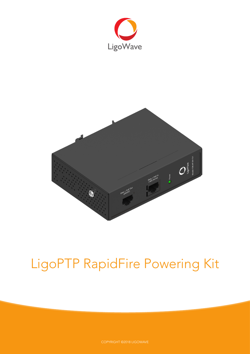



# LigoPTP RapidFire Powering Kit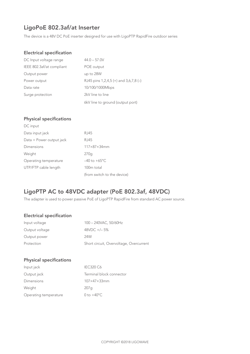# LigoPoE 802.3af/at Inserter

The device is a 48V DC PoE inserter designed for use with LigoPTP RapidFire outdoor series

## Electrical specification

| DC Input voltage range    | $44.0 - 57.0V$                          |
|---------------------------|-----------------------------------------|
| IEEE 802.3af/at compliant | POE output                              |
| Output power              | up to 28W                               |
| Power output              | RJ45 pins 1,2,4,5 (+) and $3,6,7,8$ (-) |
| Data rate                 | 10/100/1000Mbps                         |
| Surge protection          | 2kV line to line                        |
|                           | 6kV line to ground (output port)        |

### Physical specifications

| DC input                 |                             |
|--------------------------|-----------------------------|
| Data input jack          | RJ45                        |
| Data + Power output jack | RJ45                        |
| Dimensions               | $117\times87\times34$ mm    |
| Weight                   | 270q                        |
| Operating temperature    | $-40$ to $+65^{\circ}$ C    |
| UTP/FTP cable length     | 100 <sub>m</sub> total      |
|                          | (from switch to the device) |

## LigoPTP AC to 48VDC adapter (PoE 802.3af, 48VDC)

The adapter is used to power passive PoE of LigoPTP RapidFire from standard AC power source.

### Electrical specification

| Input voltage  | 100 - 240VAC, 50/60Hz                   |
|----------------|-----------------------------------------|
| Output voltage | $48VDC +/- 5%$                          |
| Output power   | 24W                                     |
| Protection     | Short circuit, Overvoltage, Overcurrent |

## Physical specifications

| <b>IEC320 C6</b>         |
|--------------------------|
| Terminal block connector |
| $107\times47\times33$ mm |
| 207q                     |
| 0 to $+40^{\circ}$ C     |
|                          |